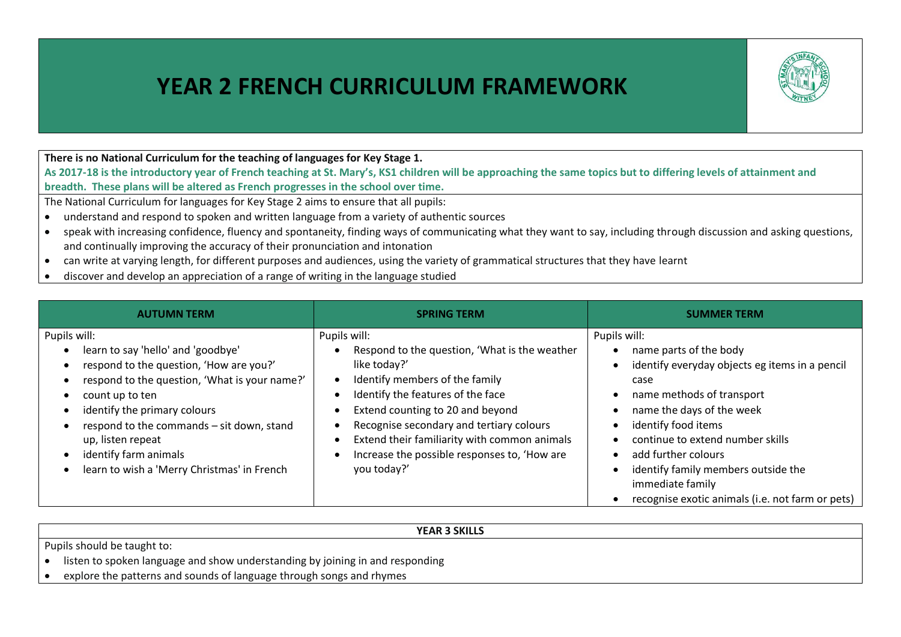## **YEAR 2 FRENCH CURRICULUM FRAMEWORK**



## **There is no National Curriculum for the teaching of languages for Key Stage 1.**

**As 2017-18 is the introductory year of French teaching at St. Mary's, KS1 children will be approaching the same topics but to differing levels of attainment and breadth. These plans will be altered as French progresses in the school over time.**

The National Curriculum for languages for Key Stage 2 aims to ensure that all pupils:

- understand and respond to spoken and written language from a variety of authentic sources
- speak with increasing confidence, fluency and spontaneity, finding ways of communicating what they want to say, including through discussion and asking questions, and continually improving the accuracy of their pronunciation and intonation
- can write at varying length, for different purposes and audiences, using the variety of grammatical structures that they have learnt
- discover and develop an appreciation of a range of writing in the language studied

| <b>AUTUMN TERM</b>                                                                                                                                                                                                                                                                                                                                                                                                        | <b>SPRING TERM</b>                                                                                                                                                                                                                                                                                                                                  | <b>SUMMER TERM</b>                                                                                                                                                                                                                                                                                                                                                                                      |
|---------------------------------------------------------------------------------------------------------------------------------------------------------------------------------------------------------------------------------------------------------------------------------------------------------------------------------------------------------------------------------------------------------------------------|-----------------------------------------------------------------------------------------------------------------------------------------------------------------------------------------------------------------------------------------------------------------------------------------------------------------------------------------------------|---------------------------------------------------------------------------------------------------------------------------------------------------------------------------------------------------------------------------------------------------------------------------------------------------------------------------------------------------------------------------------------------------------|
| Pupils will:<br>learn to say 'hello' and 'goodbye'<br>$\bullet$<br>respond to the question, 'How are you?'<br>$\bullet$<br>respond to the question, 'What is your name?'<br>count up to ten<br>$\bullet$<br>identify the primary colours<br>$\bullet$<br>respond to the commands - sit down, stand<br>up, listen repeat<br>identify farm animals<br>$\bullet$<br>learn to wish a 'Merry Christmas' in French<br>$\bullet$ | Pupils will:<br>Respond to the question, 'What is the weather<br>like today?'<br>Identify members of the family<br>Identify the features of the face<br>Extend counting to 20 and beyond<br>Recognise secondary and tertiary colours<br>Extend their familiarity with common animals<br>Increase the possible responses to, 'How are<br>you today?' | Pupils will:<br>name parts of the body<br>identify everyday objects eg items in a pencil<br>$\bullet$<br>case<br>name methods of transport<br>name the days of the week<br>identify food items<br>$\bullet$<br>continue to extend number skills<br>add further colours<br>$\bullet$<br>identify family members outside the<br>٠<br>immediate family<br>recognise exotic animals (i.e. not farm or pets) |

## **YEAR 3 SKILLS** Pupils should be taught to: • listen to spoken language and show understanding by joining in and responding explore the patterns and sounds of language through songs and rhymes